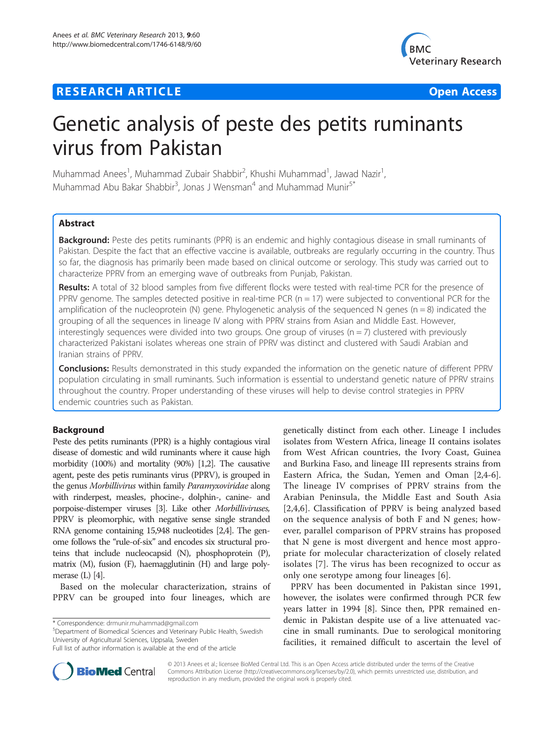## **RESEARCH ARTICLE Example 2014 12:30 THE Open Access**



# Genetic analysis of peste des petits ruminants virus from Pakistan

Muhammad Anees<sup>1</sup>, Muhammad Zubair Shabbir<sup>2</sup>, Khushi Muhammad<sup>1</sup>, Jawad Nazir<sup>1</sup> , Muhammad Abu Bakar Shabbir<sup>3</sup>, Jonas J Wensman<sup>4</sup> and Muhammad Munir<sup>5\*</sup>

## Abstract

Background: Peste des petits ruminants (PPR) is an endemic and highly contagious disease in small ruminants of Pakistan. Despite the fact that an effective vaccine is available, outbreaks are regularly occurring in the country. Thus so far, the diagnosis has primarily been made based on clinical outcome or serology. This study was carried out to characterize PPRV from an emerging wave of outbreaks from Punjab, Pakistan.

Results: A total of 32 blood samples from five different flocks were tested with real-time PCR for the presence of PPRV genome. The samples detected positive in real-time PCR ( $n = 17$ ) were subjected to conventional PCR for the amplification of the nucleoprotein (N) gene. Phylogenetic analysis of the sequenced N genes ( $n = 8$ ) indicated the grouping of all the sequences in lineage IV along with PPRV strains from Asian and Middle East. However, interestingly sequences were divided into two groups. One group of viruses ( $n = 7$ ) clustered with previously characterized Pakistani isolates whereas one strain of PPRV was distinct and clustered with Saudi Arabian and Iranian strains of PPRV.

Conclusions: Results demonstrated in this study expanded the information on the genetic nature of different PPRV population circulating in small ruminants. Such information is essential to understand genetic nature of PPRV strains throughout the country. Proper understanding of these viruses will help to devise control strategies in PPRV endemic countries such as Pakistan.

## Background

Peste des petits ruminants (PPR) is a highly contagious viral disease of domestic and wild ruminants where it cause high morbidity (100%) and mortality (90%) [\[1,2\]](#page-4-0). The causative agent, peste des petis ruminants virus (PPRV), is grouped in the genus Morbillivirus within family Paramyxoviridae along with rinderpest, measles, phocine-, dolphin-, canine- and porpoise-distemper viruses [\[3](#page-4-0)]. Like other Morbilliviruses, PPRV is pleomorphic, with negative sense single stranded RNA genome containing 15,948 nucleotides [\[2,4](#page-4-0)]. The genome follows the "rule-of-six" and encodes six structural proteins that include nucleocapsid (N), phosphoprotein (P), matrix (M), fusion (F), haemagglutinin (H) and large polymerase (L) [\[4\]](#page-4-0).

Based on the molecular characterization, strains of PPRV can be grouped into four lineages, which are

Department of Biomedical Sciences and Veterinary Public Health, Swedish University of Agricultural Sciences, Uppsala, Sweden

genetically distinct from each other. Lineage I includes isolates from Western Africa, lineage II contains isolates from West African countries, the Ivory Coast, Guinea and Burkina Faso, and lineage III represents strains from Eastern Africa, the Sudan, Yemen and Oman [[2,4-6](#page-4-0)]. The lineage IV comprises of PPRV strains from the Arabian Peninsula, the Middle East and South Asia [[2,4](#page-4-0),[6\]](#page-4-0). Classification of PPRV is being analyzed based on the sequence analysis of both F and N genes; however, parallel comparison of PPRV strains has proposed that N gene is most divergent and hence most appropriate for molecular characterization of closely related isolates [\[7\]](#page-4-0). The virus has been recognized to occur as only one serotype among four lineages [[6](#page-4-0)].

PPRV has been documented in Pakistan since 1991, however, the isolates were confirmed through PCR few years latter in 1994 [\[8](#page-4-0)]. Since then, PPR remained endemic in Pakistan despite use of a live attenuated vaccine in small ruminants. Due to serological monitoring facilities, it remained difficult to ascertain the level of



© 2013 Anees et al.; licensee BioMed Central Ltd. This is an Open Access article distributed under the terms of the Creative Commons Attribution License [\(http://creativecommons.org/licenses/by/2.0\)](http://creativecommons.org/licenses/by/2.0), which permits unrestricted use, distribution, and reproduction in any medium, provided the original work is properly cited.

<sup>\*</sup> Correspondence: [drmunir.muhammad@gmail.com](mailto:drmunir.muhammad@gmail.com) <sup>5</sup>

Full list of author information is available at the end of the article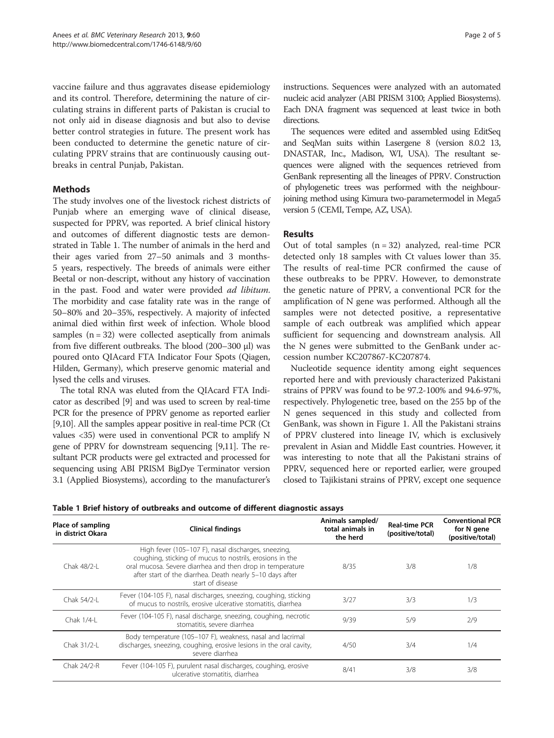vaccine failure and thus aggravates disease epidemiology and its control. Therefore, determining the nature of circulating strains in different parts of Pakistan is crucial to not only aid in disease diagnosis and but also to devise better control strategies in future. The present work has been conducted to determine the genetic nature of circulating PPRV strains that are continuously causing outbreaks in central Punjab, Pakistan.

## Methods

The study involves one of the livestock richest districts of Punjab where an emerging wave of clinical disease, suspected for PPRV, was reported. A brief clinical history and outcomes of different diagnostic tests are demonstrated in Table 1. The number of animals in the herd and their ages varied from 27–50 animals and 3 months-5 years, respectively. The breeds of animals were either Beetal or non-descript, without any history of vaccination in the past. Food and water were provided ad libitum. The morbidity and case fatality rate was in the range of 50–80% and 20–35%, respectively. A majority of infected animal died within first week of infection. Whole blood samples  $(n = 32)$  were collected aseptically from animals from five different outbreaks. The blood (200–300 μl) was poured onto QIAcard FTA Indicator Four Spots (Qiagen, Hilden, Germany), which preserve genomic material and lysed the cells and viruses.

The total RNA was eluted from the QIAcard FTA Indicator as described [[9\]](#page-4-0) and was used to screen by real-time PCR for the presence of PPRV genome as reported earlier [[9,10\]](#page-4-0). All the samples appear positive in real-time PCR (Ct values <35) were used in conventional PCR to amplify N gene of PPRV for downstream sequencing [[9,11](#page-4-0)]. The resultant PCR products were gel extracted and processed for sequencing using ABI PRISM BigDye Terminator version 3.1 (Applied Biosystems), according to the manufacturer's instructions. Sequences were analyzed with an automated nucleic acid analyzer (ABI PRISM 3100; Applied Biosystems). Each DNA fragment was sequenced at least twice in both directions.

The sequences were edited and assembled using EditSeq and SeqMan suits within Lasergene 8 (version 8.0.2 13, DNASTAR, Inc., Madison, WI, USA). The resultant sequences were aligned with the sequences retrieved from GenBank representing all the lineages of PPRV. Construction of phylogenetic trees was performed with the neighbourjoining method using Kimura two-parametermodel in Mega5 version 5 (CEMI, Tempe, AZ, USA).

## Results

Out of total samples  $(n = 32)$  analyzed, real-time PCR detected only 18 samples with Ct values lower than 35. The results of real-time PCR confirmed the cause of these outbreaks to be PPRV. However, to demonstrate the genetic nature of PPRV, a conventional PCR for the amplification of N gene was performed. Although all the samples were not detected positive, a representative sample of each outbreak was amplified which appear sufficient for sequencing and downstream analysis. All the N genes were submitted to the GenBank under accession number KC207867-KC207874.

Nucleotide sequence identity among eight sequences reported here and with previously characterized Pakistani strains of PPRV was found to be 97.2-100% and 94.6-97%, respectively. Phylogenetic tree, based on the 255 bp of the N genes sequenced in this study and collected from GenBank, was shown in Figure [1](#page-2-0). All the Pakistani strains of PPRV clustered into lineage IV, which is exclusively prevalent in Asian and Middle East countries. However, it was interesting to note that all the Pakistani strains of PPRV, sequenced here or reported earlier, were grouped closed to Tajikistani strains of PPRV, except one sequence

| Place of sampling<br>in district Okara | <b>Clinical findings</b>                                                                                                                                                                                                                                      | Animals sampled/<br>total animals in<br>the herd | <b>Real-time PCR</b><br>(positive/total) | <b>Conventional PCR</b><br>for N gene<br>(positive/total) |
|----------------------------------------|---------------------------------------------------------------------------------------------------------------------------------------------------------------------------------------------------------------------------------------------------------------|--------------------------------------------------|------------------------------------------|-----------------------------------------------------------|
| Chak 48/2-L                            | High fever (105-107 F), nasal discharges, sneezing,<br>coughing, sticking of mucus to nostrils, erosions in the<br>oral mucosa. Severe diarrhea and then drop in temperature<br>after start of the diarrhea. Death nearly 5-10 days after<br>start of disease | 8/35                                             | 3/8                                      | 1/8                                                       |
| Chak 54/2-L                            | Fever (104-105 F), nasal discharges, sneezing, coughing, sticking<br>of mucus to nostrils, erosive ulcerative stomatitis, diarrhea                                                                                                                            | 3/27                                             | 3/3                                      | 1/3                                                       |
| $Chak 1/4-1$                           | Fever (104-105 F), nasal discharge, sneezing, coughing, necrotic<br>stomatitis, severe diarrhea                                                                                                                                                               | 9/39                                             | 5/9                                      | 2/9                                                       |
| Chak 31/2-L                            | Body temperature (105–107 F), weakness, nasal and lacrimal<br>discharges, sneezing, coughing, erosive lesions in the oral cavity,<br>severe diarrhea                                                                                                          | 4/50                                             | 3/4                                      | 1/4                                                       |
| Chak 24/2-R                            | Fever (104-105 F), purulent nasal discharges, coughing, erosive<br>ulcerative stomatitis, diarrhea                                                                                                                                                            | 8/41                                             | 3/8                                      | 3/8                                                       |

Table 1 Brief history of outbreaks and outcome of different diagnostic assays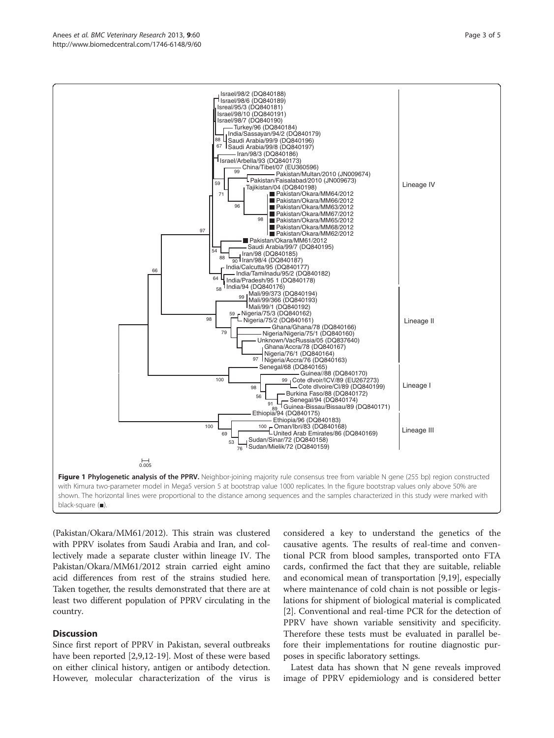<span id="page-2-0"></span>

(Pakistan/Okara/MM61/2012). This strain was clustered with PPRV isolates from Saudi Arabia and Iran, and collectively made a separate cluster within lineage IV. The Pakistan/Okara/MM61/2012 strain carried eight amino acid differences from rest of the strains studied here. Taken together, the results demonstrated that there are at least two different population of PPRV circulating in the country.

## **Discussion**

Since first report of PPRV in Pakistan, several outbreaks have been reported [\[2,9,12](#page-4-0)-[19](#page-4-0)]. Most of these were based on either clinical history, antigen or antibody detection. However, molecular characterization of the virus is

considered a key to understand the genetics of the causative agents. The results of real-time and conventional PCR from blood samples, transported onto FTA cards, confirmed the fact that they are suitable, reliable and economical mean of transportation [\[9,19](#page-4-0)], especially where maintenance of cold chain is not possible or legislations for shipment of biological material is complicated [[2\]](#page-4-0). Conventional and real-time PCR for the detection of PPRV have shown variable sensitivity and specificity. Therefore these tests must be evaluated in parallel before their implementations for routine diagnostic purposes in specific laboratory settings.

Latest data has shown that N gene reveals improved image of PPRV epidemiology and is considered better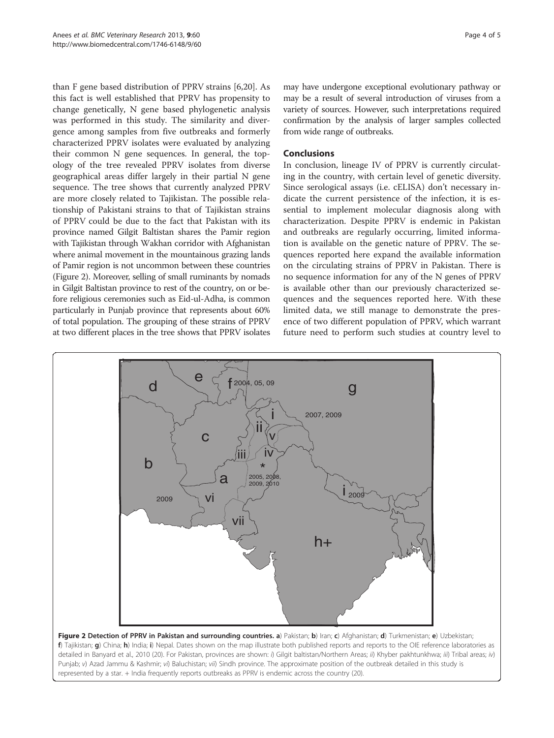than F gene based distribution of PPRV strains [\[6](#page-4-0),[20](#page-4-0)]. As this fact is well established that PPRV has propensity to change genetically, N gene based phylogenetic analysis was performed in this study. The similarity and divergence among samples from five outbreaks and formerly characterized PPRV isolates were evaluated by analyzing their common N gene sequences. In general, the topology of the tree revealed PPRV isolates from diverse geographical areas differ largely in their partial N gene sequence. The tree shows that currently analyzed PPRV are more closely related to Tajikistan. The possible relationship of Pakistani strains to that of Tajikistan strains of PPRV could be due to the fact that Pakistan with its province named Gilgit Baltistan shares the Pamir region with Tajikistan through Wakhan corridor with Afghanistan where animal movement in the mountainous grazing lands of Pamir region is not uncommon between these countries (Figure 2). Moreover, selling of small ruminants by nomads in Gilgit Baltistan province to rest of the country, on or before religious ceremonies such as Eid-ul-Adha, is common particularly in Punjab province that represents about 60% of total population. The grouping of these strains of PPRV at two different places in the tree shows that PPRV isolates

may have undergone exceptional evolutionary pathway or may be a result of several introduction of viruses from a variety of sources. However, such interpretations required confirmation by the analysis of larger samples collected from wide range of outbreaks.

## Conclusions

In conclusion, lineage IV of PPRV is currently circulating in the country, with certain level of genetic diversity. Since serological assays (i.e. cELISA) don't necessary indicate the current persistence of the infection, it is essential to implement molecular diagnosis along with characterization. Despite PPRV is endemic in Pakistan and outbreaks are regularly occurring, limited information is available on the genetic nature of PPRV. The sequences reported here expand the available information on the circulating strains of PPRV in Pakistan. There is no sequence information for any of the N genes of PPRV is available other than our previously characterized sequences and the sequences reported here. With these limited data, we still manage to demonstrate the presence of two different population of PPRV, which warrant future need to perform such studies at country level to